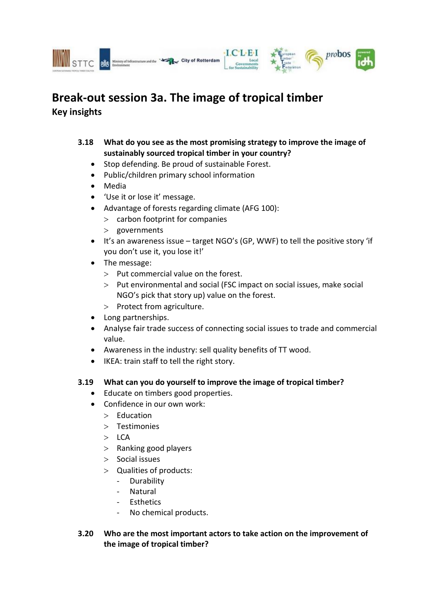



City of Rotterdam

## **3.18 What do you see as the most promising strategy to improve the image of sustainably sourced tropical timber in your country?**

probos

- Stop defending. Be proud of sustainable Forest.
- Public/children primary school information
- Media
- 'Use it or lose it' message.
- Advantage of forests regarding climate (AFG 100):
	- $>$  carbon footprint for companies
	- > governments
- It's an awareness issue target NGO's (GP, WWF) to tell the positive story 'if you don't use it, you lose it!'
- The message:
	- $>$  Put commercial value on the forest.
	- Put environmental and social (FSC impact on social issues, make social NGO's pick that story up) value on the forest.
	- $>$  Protect from agriculture.
- Long partnerships.
- Analyse fair trade success of connecting social issues to trade and commercial value.
- Awareness in the industry: sell quality benefits of TT wood.
- IKEA: train staff to tell the right story.

## **3.19 What can you do yourself to improve the image of tropical timber?**

- Educate on timbers good properties.
- Confidence in our own work:
	- $>$  Education
	- > Testimonies
	- $>$  LCA
	- > Ranking good players
	- $>$  Social issues
	- Qualities of products:
		- Durability
		- Natural
		- Esthetics
		- No chemical products.

## **3.20 Who are the most important actors to take action on the improvement of the image of tropical timber?**